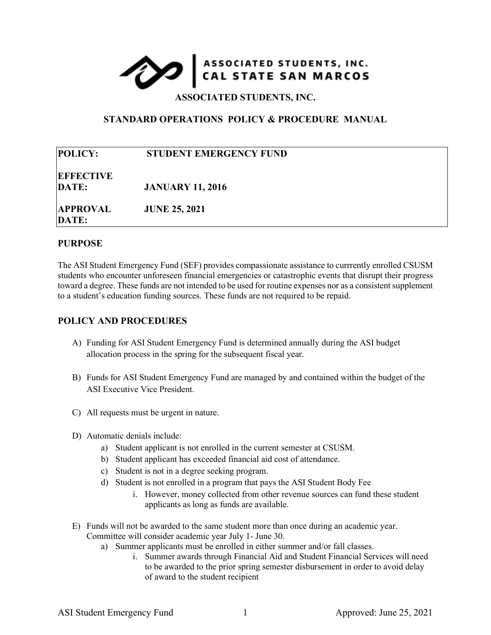## ASSOCIATED STUDENTS, INC.

**ASSOCIATED STUDENTS, INC.**

## **STANDARD OPERATIONS POLICY & PROCEDURE MANUAL**

| <b>POLICY:</b>            | STUDENT EMERGENCY FUND  |  |
|---------------------------|-------------------------|--|
| <b>EFFECTIVE</b><br>DATE: | <b>JANUARY 11, 2016</b> |  |
| <b>APPROVAL</b><br>DATE:  | <b>JUNE 25, 2021</b>    |  |

## **PURPOSE**

The ASI Student Emergency Fund (SEF) provides compassionate assistance to currrently enrolled CSUSM students who encounter unforeseen financial emergencies or catastrophic events that disrupt their progress toward a degree. These funds are not intended to be used for routine expenses nor as a consistent supplement to a student's education funding sources. These funds are not required to be repaid.

## **POLICY AND PROCEDURES**

- A) Funding for ASI Student Emergency Fund is determined annually during the ASI budget allocation process in the spring for the subsequent fiscal year.
- B) Funds for ASI Student Emergency Fund are managed by and contained within the budget of the ASI Executive Vice President.
- C) All requests must be urgent in nature.
- D) Automatic denials include:
	- a) Student applicant is not enrolled in the current semester at CSUSM.
	- b) Student applicant has exceeded financial aid cost of attendance.
	- c) Student is not in a degree seeking program.
	- d) Student is not enrolled in a program that pays the ASI Student Body Fee
		- i. However, money collected from other revenue sources can fund these student applicants as long as funds are available.
- E) Funds will not be awarded to the same student more than once during an academic year. Committee will consider academic year July 1- June 30.
	- a) Summer applicants must be enrolled in either summer and/or fall classes.
		- i. Summer awards through Financial Aid and Student Financial Services will need to be awarded to the prior spring semester disbursement in order to avoid delay of award to the student recipient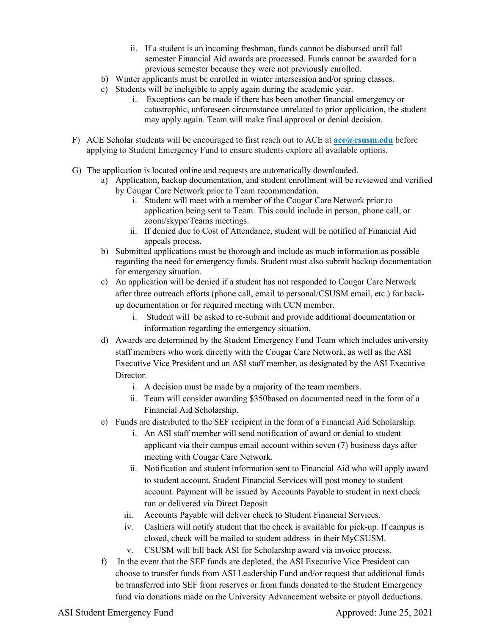- ii. If a student is an incoming freshman, funds cannot be disbursed until fall semester Financial Aid awards are processed. Funds cannot be awarded for a previous semester because they were not previously enrolled.
- b) Winter applicants must be enrolled in winter intersession and/or spring classes.
- c) Students will be ineligible to apply again during the academic year.
	- i. Exceptions can be made if there has been another financial emergency or catastrophic, unforeseen circumstance unrelated to prior application, the student may apply again. Team will make final approval or denial decision.
- F) ACE Scholar students will be encouraged to first reach out to ACE at **[ace@csusm.edu](mailto:ace@csusm.edu)** before applying to Student Emergency Fund to ensure students explore all available options.
- G) The application is located online and requests are automatically downloaded.
	- a) Application, backup documentation, and student enrollment will be reviewed and verified by Cougar Care Network prior to Team recommendation.
		- i. Student will meet with a member of the Cougar Care Network prior to application being sent to Team. This could include in person, phone call, or zoom/skype/Teams meetings.
		- ii. If denied due to Cost of Attendance, student will be notified of Financial Aid appeals process.
	- b) Submitted applications must be thorough and include as much information as possible regarding the need for emergency funds. Student must also submit backup documentation for emergency situation.
	- c) An application will be denied if a student has not responded to Cougar Care Network after three outreach efforts (phone call, email to personal/CSUSM email, etc.) for backup documentation or for required meeting with CCN member.
		- i. Student will be asked to re-submit and provide additional documentation or information regarding the emergency situation.
	- d) Awards are determined by the Student Emergency Fund Team which includes university staff members who work directly with the Cougar Care Network, as well as the ASI Executive Vice President and an ASI staff member, as designated by the ASI Executive Director.
		- i. A decision must be made by a majority of the team members.
		- ii. Team will consider awarding \$350based on documented need in the form of a Financial Aid Scholarship.
	- e) Funds are distributed to the SEF recipient in the form of a Financial Aid Scholarship.
		- i. An ASI staff member will send notification of award or denial to student applicant via their campus email account within seven (7) business days after meeting with Cougar Care Network.
		- ii. Notification and student information sent to Financial Aid who will apply award to student account. Student Financial Services will post money to student account. Payment will be issued by Accounts Payable to student in next check run or delivered via Direct Deposit
		- iii. Accounts Payable will deliver check to Student Financial Services.
		- iv. Cashiers will notify student that the check is available for pick-up. If campus is closed, check will be mailed to student address in their MyCSUSM.
		- v. CSUSM will bill back ASI for Scholarship award via invoice process.
	- f) In the event that the SEF funds are depleted, the ASI Executive Vice President can choose to transfer funds from ASI Leadership Fund and/or request that additional funds be transferred into SEF from reserves or from funds donated to the Student Emergency fund via donations made on the University Advancement website or payoll deductions.